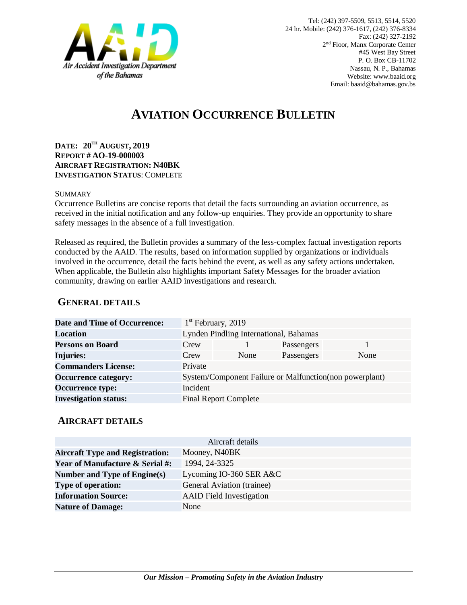

# **AVIATION OCCURRENCE BULLETIN**

**DATE: 20TH AUGUST, 2019 REPORT # AO-19-000003 AIRCRAFT REGISTRATION: N40BK INVESTIGATION STATUS**: COMPLETE

#### SUMMARY

Occurrence Bulletins are concise reports that detail the facts surrounding an aviation occurrence, as received in the initial notification and any follow-up enquiries. They provide an opportunity to share safety messages in the absence of a full investigation*.*

Released as required, the Bulletin provides a summary of the less-complex factual investigation reports conducted by the AAID. The results, based on information supplied by organizations or individuals involved in the occurrence, detail the facts behind the event, as well as any safety actions undertaken. When applicable, the Bulletin also highlights important Safety Messages for the broader aviation community, drawing on earlier AAID investigations and research.

### **GENERAL DETAILS**

| <b>Date and Time of Occurrence:</b> |                                        | $1st$ February, 2019                                    |            |      |
|-------------------------------------|----------------------------------------|---------------------------------------------------------|------------|------|
| Location                            | Lynden Pindling International, Bahamas |                                                         |            |      |
| <b>Persons on Board</b>             | Crew                                   |                                                         | Passengers |      |
| <b>Injuries:</b>                    | Crew                                   | None                                                    | Passengers | None |
| <b>Commanders License:</b>          | Private                                |                                                         |            |      |
| <b>Occurrence category:</b>         |                                        | System/Component Failure or Malfunction(non powerplant) |            |      |
| <b>Occurrence type:</b>             | Incident                               |                                                         |            |      |
| <b>Investigation status:</b>        |                                        | <b>Final Report Complete</b>                            |            |      |

#### **AIRCRAFT DETAILS**

| Aircraft details                           |                                 |  |  |  |
|--------------------------------------------|---------------------------------|--|--|--|
| <b>Aircraft Type and Registration:</b>     | Mooney, N40BK                   |  |  |  |
| <b>Year of Manufacture &amp; Serial #:</b> | 1994, 24-3325                   |  |  |  |
| Number and Type of Engine(s)               | Lycoming IO-360 SER A&C         |  |  |  |
| <b>Type of operation:</b>                  | General Aviation (trainee)      |  |  |  |
| <b>Information Source:</b>                 | <b>AAID</b> Field Investigation |  |  |  |
| <b>Nature of Damage:</b>                   | None                            |  |  |  |